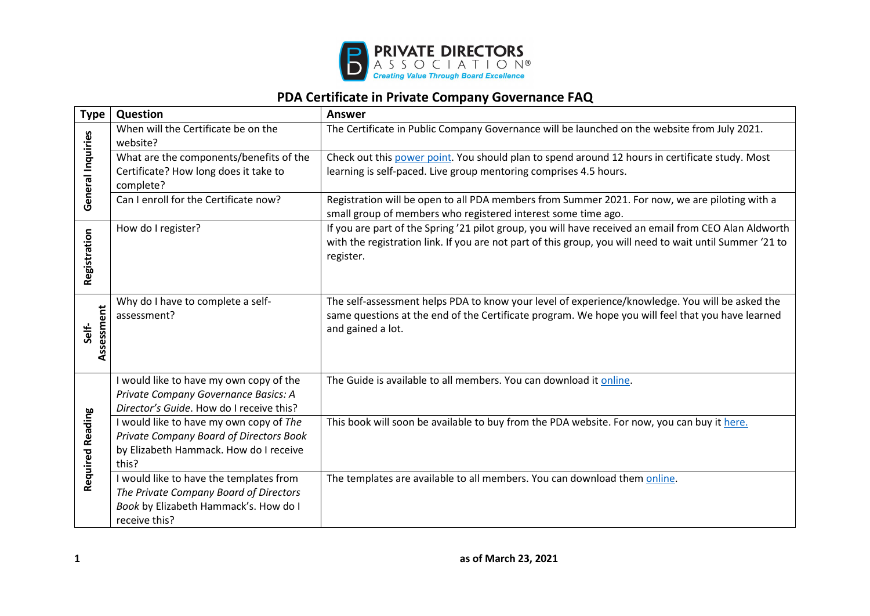

## **PDA Certificate in Private Company Governance FAQ**

| <b>Type</b>             | Question                                                                                                                                    | <b>Answer</b>                                                                                                                                                                                                                  |
|-------------------------|---------------------------------------------------------------------------------------------------------------------------------------------|--------------------------------------------------------------------------------------------------------------------------------------------------------------------------------------------------------------------------------|
| General Inquiries       | When will the Certificate be on the<br>website?                                                                                             | The Certificate in Public Company Governance will be launched on the website from July 2021.                                                                                                                                   |
|                         | What are the components/benefits of the<br>Certificate? How long does it take to<br>complete?                                               | Check out this power point. You should plan to spend around 12 hours in certificate study. Most<br>learning is self-paced. Live group mentoring comprises 4.5 hours.                                                           |
|                         | Can I enroll for the Certificate now?                                                                                                       | Registration will be open to all PDA members from Summer 2021. For now, we are piloting with a<br>small group of members who registered interest some time ago.                                                                |
| Registration            | How do I register?                                                                                                                          | If you are part of the Spring '21 pilot group, you will have received an email from CEO Alan Aldworth<br>with the registration link. If you are not part of this group, you will need to wait until Summer '21 to<br>register. |
| Assessment<br>Self-     | Why do I have to complete a self-<br>assessment?                                                                                            | The self-assessment helps PDA to know your level of experience/knowledge. You will be asked the<br>same questions at the end of the Certificate program. We hope you will feel that you have learned<br>and gained a lot.      |
| <b>Required Reading</b> | I would like to have my own copy of the<br>Private Company Governance Basics: A<br>Director's Guide. How do I receive this?                 | The Guide is available to all members. You can download it online.                                                                                                                                                             |
|                         | I would like to have my own copy of The<br>Private Company Board of Directors Book<br>by Elizabeth Hammack. How do I receive<br>this?       | This book will soon be available to buy from the PDA website. For now, you can buy it here.                                                                                                                                    |
|                         | I would like to have the templates from<br>The Private Company Board of Directors<br>Book by Elizabeth Hammack's. How do I<br>receive this? | The templates are available to all members. You can download them online.                                                                                                                                                      |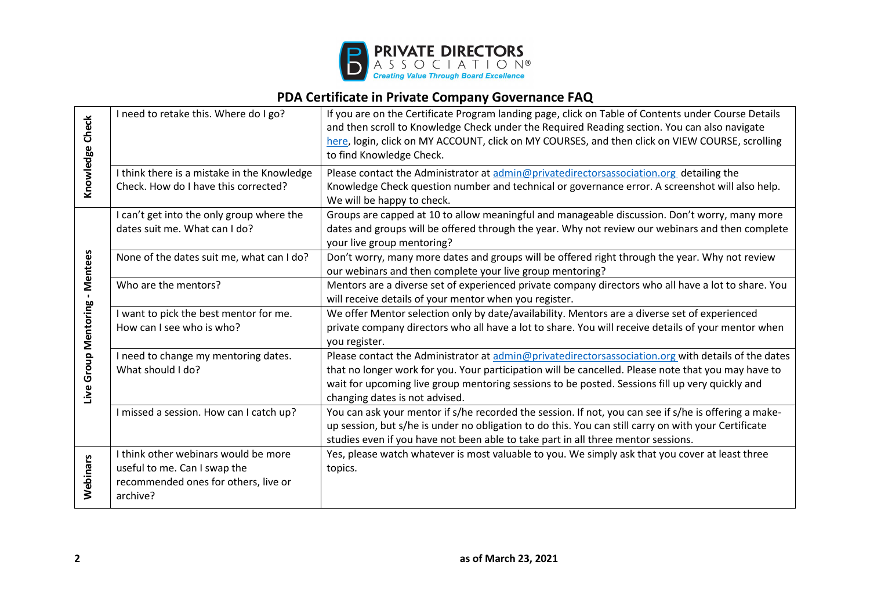

## **PDA Certificate in Private Company Governance FAQ**

|                                | I need to retake this. Where do I go?       | If you are on the Certificate Program landing page, click on Table of Contents under Course Details   |
|--------------------------------|---------------------------------------------|-------------------------------------------------------------------------------------------------------|
| Knowledge Check                |                                             | and then scroll to Knowledge Check under the Required Reading section. You can also navigate          |
|                                |                                             |                                                                                                       |
|                                |                                             | here, login, click on MY ACCOUNT, click on MY COURSES, and then click on VIEW COURSE, scrolling       |
|                                |                                             | to find Knowledge Check.                                                                              |
|                                | I think there is a mistake in the Knowledge | Please contact the Administrator at admin@privatedirectorsassociation.org detailing the               |
|                                | Check. How do I have this corrected?        | Knowledge Check question number and technical or governance error. A screenshot will also help.       |
|                                |                                             | We will be happy to check.                                                                            |
|                                | I can't get into the only group where the   | Groups are capped at 10 to allow meaningful and manageable discussion. Don't worry, many more         |
|                                | dates suit me. What can I do?               | dates and groups will be offered through the year. Why not review our webinars and then complete      |
|                                |                                             | your live group mentoring?                                                                            |
|                                | None of the dates suit me, what can I do?   | Don't worry, many more dates and groups will be offered right through the year. Why not review        |
|                                |                                             | our webinars and then complete your live group mentoring?                                             |
|                                | Who are the mentors?                        | Mentors are a diverse set of experienced private company directors who all have a lot to share. You   |
|                                |                                             | will receive details of your mentor when you register.                                                |
|                                | I want to pick the best mentor for me.      | We offer Mentor selection only by date/availability. Mentors are a diverse set of experienced         |
| Live Group Mentoring - Mentees | How can I see who is who?                   | private company directors who all have a lot to share. You will receive details of your mentor when   |
|                                |                                             | you register.                                                                                         |
|                                | I need to change my mentoring dates.        | Please contact the Administrator at admin@privatedirectorsassociation.org with details of the dates   |
|                                | What should I do?                           | that no longer work for you. Your participation will be cancelled. Please note that you may have to   |
|                                |                                             | wait for upcoming live group mentoring sessions to be posted. Sessions fill up very quickly and       |
|                                |                                             | changing dates is not advised.                                                                        |
|                                | I missed a session. How can I catch up?     | You can ask your mentor if s/he recorded the session. If not, you can see if s/he is offering a make- |
|                                |                                             | up session, but s/he is under no obligation to do this. You can still carry on with your Certificate  |
|                                |                                             | studies even if you have not been able to take part in all three mentor sessions.                     |
|                                | I think other webinars would be more        | Yes, please watch whatever is most valuable to you. We simply ask that you cover at least three       |
| Webinars                       | useful to me. Can I swap the                | topics.                                                                                               |
|                                | recommended ones for others, live or        |                                                                                                       |
|                                | archive?                                    |                                                                                                       |
|                                |                                             |                                                                                                       |
|                                |                                             |                                                                                                       |
|                                |                                             |                                                                                                       |
|                                |                                             |                                                                                                       |
| 2                              |                                             | as of March 23, 2021                                                                                  |